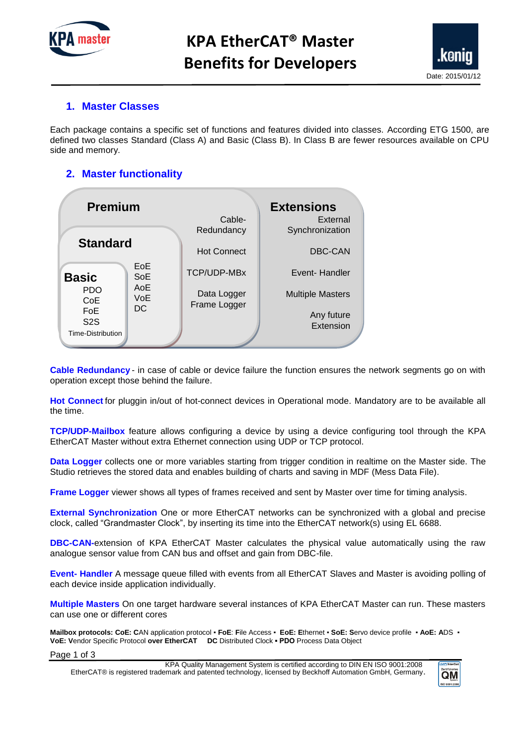

# **KPA EtherCAT® Master Benefits for Developers**



#### **1. Master Classes**

Each package contains a specific set of functions and features divided into classes. According ETG 1500, are defined two classes Standard (Class A) and Basic (Class B). In Class B are fewer resources available on CPU side and memory.

### **2. Master functionality**

| <b>Premium</b>                 |            | <b>Extensions</b>    |                             |
|--------------------------------|------------|----------------------|-----------------------------|
|                                |            | Cable-<br>Redundancy | External<br>Synchronization |
| <b>Standard</b>                |            | <b>Hot Connect</b>   | DBC-CAN                     |
| <b>Basic</b>                   | EoE<br>SoE | <b>TCP/UDP-MBx</b>   | Event-Handler               |
| <b>PDO</b><br>CoE              | AoE<br>VoE | Data Logger          | <b>Multiple Masters</b>     |
| <b>FoE</b><br>S <sub>2</sub> S | <b>DC</b>  | Frame Logger         | Any future                  |
| Time-Distribution              |            |                      | Extension                   |

**Cable Redundancy** - in case of cable or device failure the function ensures the network segments go on with operation except those behind the failure.

**Hot Connect** for pluggin in/out of hot-connect devices in Operational mode. Mandatory are to be available all the time.

**TCP/UDP-Mailbox** feature allows configuring a device by using a device configuring tool through the KPA EtherCAT Master without extra Ethernet connection using UDP or TCP protocol.

**Data Logger** collects one or more variables starting from trigger condition in realtime on the Master side. The Studio retrieves the stored data and enables building of charts and saving in MDF (Mess Data File).

**Frame Logger** viewer shows all types of frames received and sent by Master over time for timing analysis.

**External Synchronization** One or more EtherCAT networks can be synchronized with a global and precise clock, called "Grandmaster Clock", by inserting its time into the EtherCAT network(s) using EL 6688.

**DBC-CAN-**extension of KPA EtherCAT Master calculates the physical value automatically using the raw analogue sensor value from CAN bus and offset and gain from DBC-file.

**Event- Handler** A message queue filled with events from all EtherCAT Slaves and Master is avoiding polling of each device inside application individually.

**Multiple Masters** On one target hardware several instances of KPA EtherCAT Master can run. These masters can use one or different cores

**Mailbox protocols: CoE: C**AN application protocol ▪ **FoE**: **F**ile Access ▪ **EoE: E**thernet ▪ **SoE: S**ervo device profile ▪ **AoE: A**DS ▪ **VoE: V**endor Specific Protocol **over EtherCAT DC** Distributed Clock **▪ PDO** Process Data Object

Page 1 of 3

EtherCAT® is registered trademark and patented technology, licensed by Beckhoff Automation GmbH, Germany. KPA Quality Management System is certified according to DIN EN ISO 9001:2008

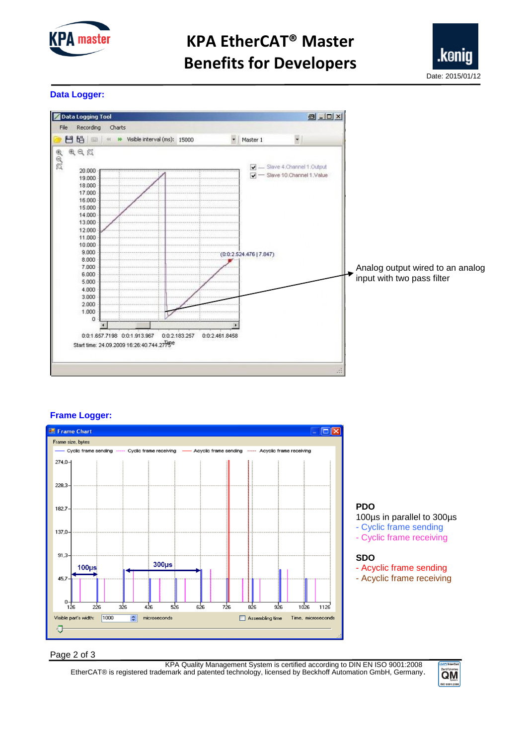

# **KPA EtherCAT® Master Benefits for Developers**



#### **Data Logger:**



#### **Frame Logger:**



**PDO** 

100µs in parallel to 300µs

- Cyclic frame sending
- Cyclic frame receiving

#### **SDO**

- Acyclic frame sending
- Acyclic frame receiving

Page 2 of 3

EtherCAT® is registered trademark and patented technology, licensed by Beckhoff Automation GmbH, Germany. KPA Quality Management System is certified according to DIN EN ISO 9001:2008